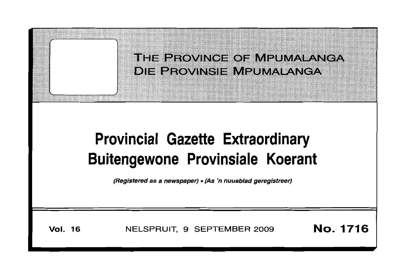

# **Provincial Gazette Extraordinary Buitengewone Provinsiale Koerant**

(Registered as a newspaper) • (As 'n nuusblad geregistreer)

**Vol. 16** NELSPRUIT, 9 SEPTEMBER 2009 **No. 1716**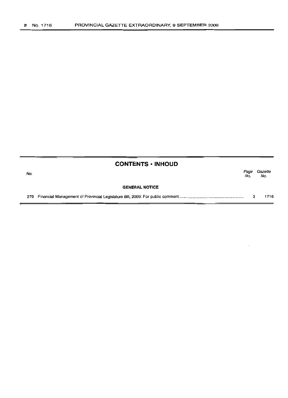|     | <b>CONTENTS • INHOUD</b> |             |                |
|-----|--------------------------|-------------|----------------|
| No. |                          | Page<br>No. | Gazette<br>No. |
|     | <b>GENERAL NOTICE</b>    |             |                |
| 279 |                          | з           | 1716           |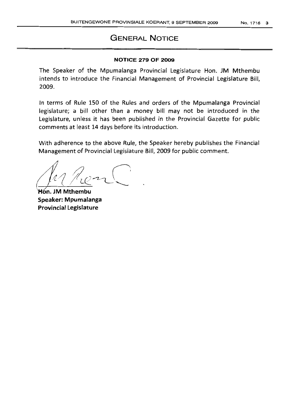# GENERAL NOTICE

# NOTICE 279 OF 2009

The Speaker of the Mpumalanga Provincial Legislature Hon. JM Mthembu intends to introduce the Financial Management of Provincial Legislature Bill, 2009.

In terms of Rule 150 of the Rules and orders of the Mpumalanga Provincial legislature; a bill other than a money bill may not be introduced in the Legislature, unless it has been published in the Provincial Gazette for public comments at least 14 days before its introduction.

With adherence to the above Rule, the Speaker hereby publishes the Financial Management of Provincial Legislature Bill, 2009 for public comment.

for her

Hón. JM Mthembu Speaker: Mpumalanga Provincial Legislature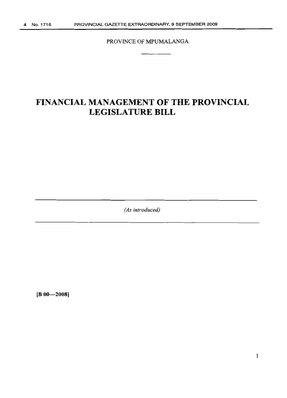PROVINCE OF MPUMALANGA

# **FINANCIAL MANAGEMENT OF THE PROVINCIAL LEGISLATURE BILL**

*(As introduced)*

**[B 00-2008]**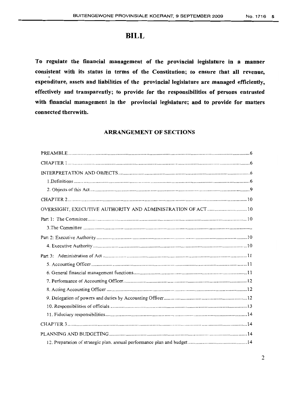# **BILL**

**To regulate the financial management of the provincial legislature in a manner consistent with its status in terms of the Constitution; to ensure that all revenue, expenditure, assets and liabilities of the provincial legislature are managed efficiently, effectively and transparently; to provide for the responsibilities of persons entrusted with financial management in the provincial legislature; and to provide for matters connected therewith.**

# **ARRANGEMENT OF SECTIONS**

| OVERSIGHT, EXECUTIVE AUTHORITY AND ADMINISTRATION OF ACT  10 |
|--------------------------------------------------------------|
|                                                              |
|                                                              |
|                                                              |
|                                                              |
|                                                              |
|                                                              |
|                                                              |
|                                                              |
|                                                              |
|                                                              |
|                                                              |
|                                                              |
|                                                              |
|                                                              |
|                                                              |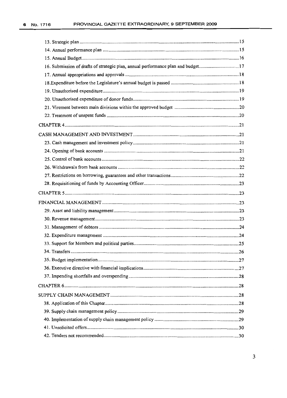| 16. Submission of drafts of strategic plan, annual performance plan and budget17 |      |
|----------------------------------------------------------------------------------|------|
|                                                                                  |      |
|                                                                                  |      |
|                                                                                  |      |
|                                                                                  |      |
|                                                                                  |      |
|                                                                                  |      |
|                                                                                  |      |
|                                                                                  |      |
|                                                                                  |      |
|                                                                                  |      |
|                                                                                  |      |
|                                                                                  |      |
|                                                                                  |      |
|                                                                                  |      |
|                                                                                  |      |
|                                                                                  |      |
|                                                                                  |      |
|                                                                                  |      |
|                                                                                  |      |
|                                                                                  |      |
|                                                                                  |      |
|                                                                                  |      |
|                                                                                  |      |
|                                                                                  | . 27 |
|                                                                                  |      |
|                                                                                  |      |
|                                                                                  |      |
|                                                                                  |      |
|                                                                                  |      |
|                                                                                  |      |
|                                                                                  |      |
|                                                                                  |      |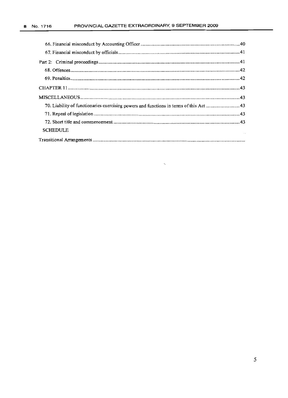| 70. Liability of functionaries exercising powers and functions in terms of this Act 43 |
|----------------------------------------------------------------------------------------|
|                                                                                        |
|                                                                                        |
| <b>SCHEDULE</b>                                                                        |

 $\hat{\phantom{a}}$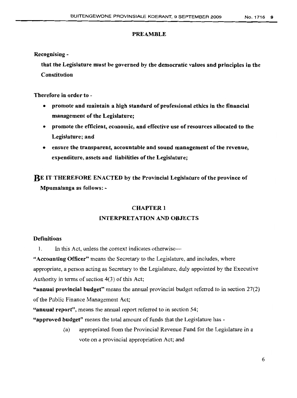# PREAMBLE

Recognising -

that the Legislature must be governed by the democratic values and principles in the Constitution

Therefore in order to -

- promote and maintain a high standard of professional ethics in the financial management of the Legislature;
- promote tbe efficient, economic, and effective use of resources allocated to the Legislature; and
- ensure the transparent, accountable and sound management of the revenue, expenditure, assets and liabilities of the Legislature;

**RE** IT THEREFORE ENACTED by the Provincial Legislature of the province of Mpumalanga as follows: -

# **CHAPTER 1**

# INTERPRETATION AND OBJECTS

# **Definitions**

1. In this Act, unless the context indicates otherwise-

"Accounting Officer" means the Secretary to the Legislature, and includes, where appropriate, a person acting as Secretary to the Legislature, duly appointed by the Executive Authority in terms of section  $4(3)$  of this Act;

"annual provincial budget" means the annual provincial budget referred to in section 27(2) of the Public Finance Management Act;

"annual report", means the annual report referred to in section 54;

"approved budget" means the total amount of funds that the Legislature has -

(a) appropriated from the Provincial Revenue Fund for the Legislature in a vote on a provincial appropriation Act; and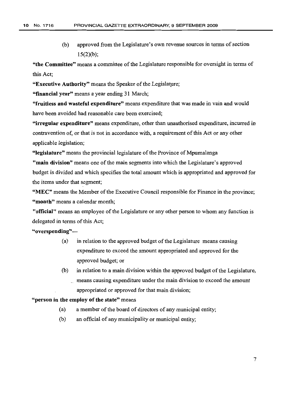(b) approved from the Legislature's own revenue sources in terms of section  $15(2)(b)$ ;

"the Committee" means a committee of the Legislature responsible for oversight in terms of this Act;

"Executive Authority" means the Speaker of the Legislature;

"financial year" means a year ending 31 March;

"fruitless and wasteful expenditure" means expenditure that was made in vain and would have been avoided had reasonable care been exercised;

"irregular expenditure" means expenditure, other than unauthorised expenditure, incurred in contravention of, or that is not in accordance with, a requirement of this Act or any other applicable legislation;

"legislature" means the provincial legislature of the Province of Mpumalanga

"main division" means one of the main segments into which the Legislature's approved budget is divided and which specifies the total amount which is appropriated and approved for the items under that segment;

"MEC" means the Member of the Executive Council responsible for Finance in the province; "month" means a calendar month:

"official" means an employee of the Legislature or any other person to whom any function is delegated in terms of this Act;

"overspending"-

- (a) in relation to the approved budget of the Legislature means causing expenditure to exceed the amount appropriated and approved for the approved budget; or
- $(b)$  in relation to a main division within the approved budget of the Legislature, means causing expenditure under the main division to exceed the amount appropriated or approved for that main division;

# "person in the employ of the state" means

- $(a)$  a member of the board of directors of any municipal entity;
- (b) an official of any municipality or municipal entity;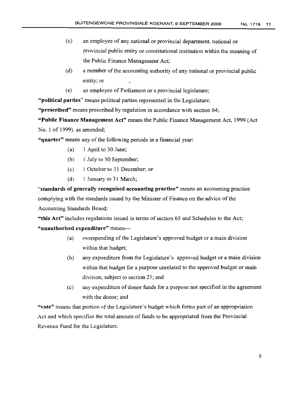- (c) an employee of any national or provincial department, national or provincial public entity or constitutional institution within the meaning of the Public Finance Management Act;
- $(d)$  a member of the accounting authority of any national or provincial public entity; or
- (e) an employee of Parliament or a provincial legislature;

"political parties" means political parties represented in the Legislature;

"prescribed" means prescribed by regulation in accordance with section 64;

"Public Finance Management Act" means the Public Finance Management Act, 1999 (Act No.1 of 1999), as amended;

"quarter" means any of the following periods in a financial year:

- (a) 1 April to 30 June;
- (b) I July to 30 September;
- (c) I October to 31 December; or
- (d) 1 January to 31 March;

"standards of generally recognised accounting practice" means an accounting practice complying with the standards issued by the Minister of Finance on the advice of the Accounting Standards Board;

"this Act" includes regulations issued in terms of section 65 and Schedules to the Act; "unauthorised expenditure" means-

- (a) overspending of the Legislature's approved budget or a main division within that budget;
- (b) any expenditure from the Legislature's approved budget or a main division within that budget for a purpose unrelated to the approved budget or main division, subject to section 21; and
- (c) any expenditure of donor funds for a purpose not specified in the agreement with the donor; and

"vote" means that portion of the Legislature's budget which forms part of an appropriation Act and which specifies the total amount of funds to be appropriated from the Provincial Revenue Fund for the Legislature.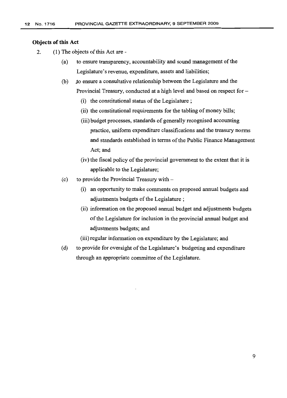# **Objects** of this Act

- 2. (1) The objects of this Act are -
	- (a) to ensure transparency, accountability and sound management of the Legislature's revenue, expenditure, assets and liabilities;
	- (b) to ensure a consultative relationship between the Legislature and the Provincial Treasury, conducted at a high level and based on respect for-
		- $(i)$  the constitutional status of the Legislature;
		- (ii) the constitutional requirements for the tabling of money bills;
		- (iii) budget processes, standards of generally recognised accounting practice, uniform expenditure classifications and the treasury norms and standards established in terms of the Public Finance Management Act; and
		- (iv) the fiscal policy of the provincial government to the extent that it is applicable to the Legislature;
	- (c) to provide the Provincial Treasury with  $-$ 
		- (i) an opportunity to make comments on proposed annual budgets and adjustments budgets of the Legislature;
		- (ii) information on the proposed annual budget and adjustments budgets ofthe Legislature for inclusion in the provincial annual budget and adjustments budgets; and

(iii) regular information on expenditure by the Legislature; and

(d) to provide for oversight of the Legislature's budgeting and expenditure through an appropriate committee of the Legislature.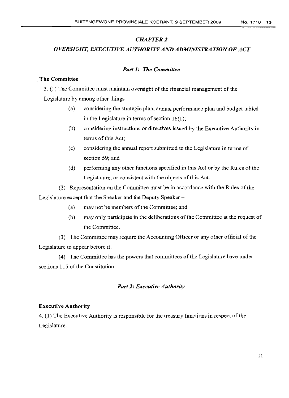# *CHAPTER* 2

# *OVERSIGHT, EXECUTIVE AUTHORITYAND ADMINISTRATION OF ACT*

# *Part* 1: *The Committee*

# . The Committee

3. (1) The Committee must maintain oversight of the financial management of the Legislature by among other things -

- (a) considering the strategic plan, annual performance plan and budget tabled in the Legislature in terms of section  $16(1)$ ;
- (b) considering instructions or directives issued by the Executive Authority in terms of this Act;
- (c) considering the annual report submitted to the Legislature in terms of section 59; and
- (d) performing any other functions specified in this Act or by the Rules ofthe Legislature, or consistent with the objects of this Act.

(2) Representation on the Committee must be in accordance with the Rules ofthe Legislature except that the Speaker and the Deputy Speaker-

- (a) may not be members of the Committee; and
- (b) may only participate in the deliberations of the Committee at the request of the Committee.

(3) The Committee may require the Accounting Officer or any other official of the Legislature to appear before it.

(4) The Committee has the powers that committees ofthe Legislature have under sections 115 of the Constitution.

# *Part* 2: *Executive Authority*

# Executive Authority

4. (1) The Executive Authority is responsible for the treasury functions in respect ofthe Legislature.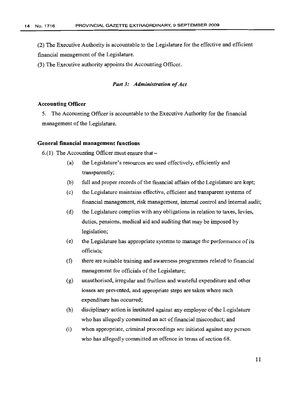(2) The Executive Authority is accountable to the Legislature for the effective and efficient financial management of the Legislature.

(3) The Executive authority appoints the Accounting Officer.

# *Part 3: Administration of Act*

# Accounting Officer

5. The Accounting Officer is accountable to the Executive Authority for the financial management of the Legislature.

# General financial management functions

6.(1) The Accounting Officer must ensure that  $-$ 

- (a) the Legislature's resources are used effectively, efficiently and transparently;
- (b) full and proper records of the financial affairs of the Legislature are kept;
- (c) the Legislature maintains effective, efficient and transparent systems of financial management, risk management, internal control and internal audit;
- (d) the Legislature complies with any obligations in relation to taxes, levies, duties, pensions, medical aid and auditing that may be imposed by legislation;
- (e) the Legislature has appropriate systems to manage the performance of its officials;
- (f) there are suitable training and awareness programmes related to financial management for officials of the Legislature;
- (g) unauthorised, irregular and fruitless and wasteful expenditure and other losses are prevented, and appropriate steps are taken where such expenditure has occurred;
- (h) disciplinary action is instituted against any employee of the Legislature who has allegedly committed an act of financial misconduct; and
- (i) when appropriate, criminal proceedings are initiated against any person who has allegedly committed an offence in terms of section 68.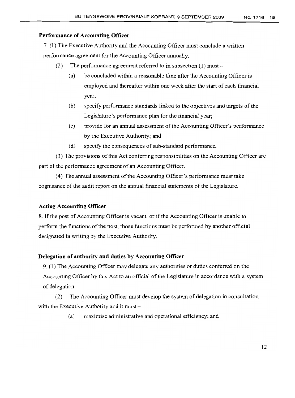# **Performance of Accounting Officer**

7. (1) The Executive Authority and the Accounting Officer must conclude a written performance agreement for the Accounting Officer annually.

- (2) The performance agreement referred to in subsection (1) must-
	- (a) be concluded within a reasonable time after the Accounting Officer is employed and thereafter within one week after the start of each financial year;
	- (b) specify performance standards linked to the objectives and targets of the Legislature's performance plan for the financial year;
	- (c) provide for an annual assessment of the Accounting Officer's performance by the Executive Authority; and
	- (d) specify the consequences of sub-standard performance.

(3) The provisions ofthis Act conferring responsibilities on the Accounting Officer are part of the performance agreement of an Accounting Officer.

(4) The annual assessment of the Accounting Officer's performance must take cognisance ofthe audit report on the annual financial statements ofthe Legislature.

# **Acting Accounting Officer**

8. Ifthe post of Accounting Officer is vacant, or if the Accounting Officer is unable to perform the functions of the post, those functions must be performed by another official designated in writing by the Executive Authority.

# **Delegation of authority and duties by Accounting Officer**

9. (1) The Accounting Officer may delegate any authorities or duties conferred on the Accounting Officer by this Act to an official of the Legislature in accordance with a system of delegation.

(2) The Accounting Officer must develop the system of delegation in consultation with the Executive Authority and it must -

(a) maximise administrative and operational efficiency; and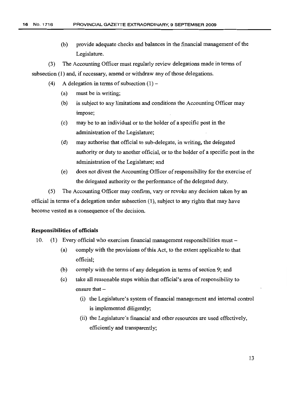(b) provide adequate checks and balances in the financial management of the Legislature.

(3) The Accounting Officer must regularly review delegations made in terms of subsection  $(1)$  and, if necessary, amend or withdraw any of those delegations.

- (4) A delegation in terms of subsection  $(1)$ 
	- (a) must be in writing;
	- (b) is subject to any limitations and conditions the Accounting Officer may impose;
	- (c) may be to an individual or to the holder of a specific post in the administration of the Legislature;
	- (d) may authorise that official to sub-delegate, in writing, the delegated authority or duty to another official, or to the holder of a specific post in the administration of the Legislature; and
	- (e) does not divest the Accounting Officer ofresponsibility for the exercise of the delegated authority or the performance of the delegated duty.

(5) The Accounting Officer may confirm, vary or revoke any decision taken by an official in terms of a delegation under subsection (l), subject to any rights that may have become vested as a consequence of the decision.

# **Responsibilities of officials**

- 10. (1) Every official who exercises financial management responsibilities must-
	- (a) comply with the provisions of this Act, to the extent applicable to that official;
	- $(b)$  comply with the terms of any delegation in terms of section 9; and
	- (c) take all reasonable steps within that official's area ofresponsibility to ensure that  $-$ 
		- (i) the Legislature's system of financial management and internal control is implemented diligently;
		- (ii) the Legislature's financial and other resources are used effectively, efficiently and transparently;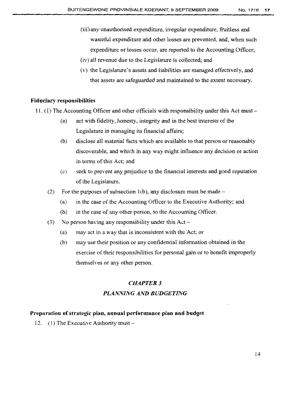- (iii) any unauthorised expenditure, irregular expenditure, fruitless and wasteful expenditure and other losses are prevented, and, when such expenditure or losses occur, are reported to the Accounting Officer;
- (iv) all revenue due to the Legislature is collected; and
- (v) the Legislature's assets and liabilities are managed effectively, and that assets are safeguarded and maintained to the extent necessary.

# **Fiduciary responsibilities**

- 11. (1) The Accounting Officer and other officials with responsibility under this Act must
	- (a) act with fidelity, honesty, integrity and in the best interests of the Legislature in managing its fmancial affairs;
	- (b) disclose all material facts which are available to that person or reasonably discoverable, and which in any way might influence any decision or action in terms of this Act; and
	- (c) seek to prevent any prejudice to the financial interests and good reputation of the Legislature.
	- (2) For the purposes of subsection 1(b), any disclosure must be made  $-$ 
		- (a) in the case of the Accounting Officer to the Executive Authority; and
		- (b) in the case of any other person, to the Accounting Officer.
	- (3) No person having any responsibility under this  $Act -$ 
		- (a) may act in a way that is inconsistent with the Act; or
		- (b) may use their position or any confidential information obtained in the exercise of their responsibilities for personal gain or to benefit improperly themselves or any other person.

# *CHAPTER* 3

# *PLANNING AND BUDGETING*

# **Preparation ofstrategic plan, annual performance plan and budget**

12. (1) The Executive Authority must -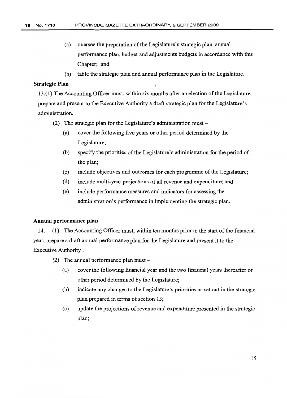- (a) oversee the preparation of the Legislature's strategic plan, annual performance plan, budget and adjustments budgets in accordance with this Chapter; and
- (b) table the strategic plan and annual performance plan in the Legislature.

# **Strategic Plan**

13.(1) The Accounting Officer must, within six months after an election ofthe Legislature, prepare and present to the Executive Authority a draft strategic plan for the Legislature's administration.

- (2) The strategic plan for the Legislature's administration must  $-$ 
	- (a) cover the following five years or other period determined by the Legislature;
	- (b) specify the priorities of the Legislature's administration for the period of the plan;
	- (c) include objectives and outcomes for each programme of the Legislature;
	- (d) include multi-year projections of all revenue and expenditure; and
	- (e) include performance measures and indicators for assessing the administration's performance in implementing the strategic plan.

# **Annual performance plan**

14. (1) The Accounting Officer must, within ten months prior to the start of the financial year, prepare a draft annual performance plan for the Legislature and present it to the Executive Authority.

- (2) The annual performance plan must  $-$ 
	- (a) cover the following financial year and the two fmancial years thereafter or other period determined by the Legislature;
	- (b) indicate any changes to the Legislature's priorities as set out in the strategic plan prepared in terms of section 13;
	- (c) update the projections ofrevenue and expenditure presented in the strategic plan;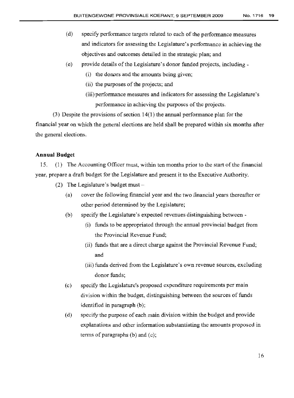- (d) specify performance targets related to each of the performance measures and indicators for assessing the Legislature's performance in achieving the objectives and outcomes detailed in the strategic plan; and
- $(e)$  provide details of the Legislature's donor funded projects, including -
	- (i) the donors and the amounts being given;
	- (ii) the purposes of the projects; and
	- (iii) performance measures and indicators for assessing the Legislature's performance in achieving the purposes of the projects.

(3) Despite the provisions of section  $14(1)$  the annual performance plan for the financial year on which the general elections are held shall be prepared within six months after the general elections.

# **Annual Budget**

15. (1) The Accounting Officer must, within ten months prior to the start ofthe financial year, prepare a draft budget for the Legislature and present it to the Executive Authority.

- (2) The Legislature's budget must  $-$ 
	- (a) cover the following financial year and the two financial years thereafter or other period determined by the Legislature;
	- (b) specify the Legislature's expected revenues distinguishing between
		- (i) funds to be appropriated through the annual provincial budget from the Provincial Revenue Fund;
		- (ii) funds that are a direct charge against the Provincial Revenue Fund; and
		- (iii) funds derived from the Legislature's own revenue sources, excluding donor funds;
	- $(c)$  specify the Legislature's proposed expenditure requirements per main division within the budget, distinguishing between the sources of funds identified in paragraph (b);
	- (d) specify the purpose of each main division within the budget and provide explanations and other information substantiating the amounts proposed in terms of paragraphs (b) and (c);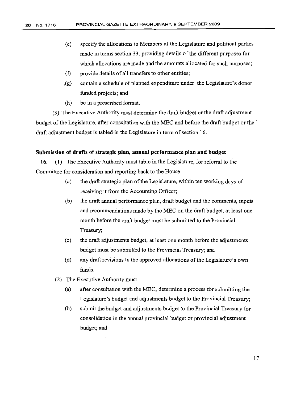- (e) specify the allocations to Members of the Legislature and political parties made in terms section 33, providing details of the different purposes for which allocations are made and the amounts allocated for such purposes;
- (f) provide details of all transfers to other entities;
- .(g) contain a schedule of planned expenditure under the Legislature's donor funded projects; and
- (h) be in a prescribed format.

(3) The Executive Authority must determine the draft budget or the draft adjustment budget of the Legislature, after consultation with the MEC and before the draft budget or the draft adjustment budget is tabled in the Legislature in term of section 16.

# **Submission of drafts of strategic plan, annual performance plan and budget**

16. (1) The Executive Authority must table in the Legislature, for referral to the Committee for consideration and reporting back to the House-

- (a) the draft strategic plan of the Legislature, within ten working days of receiving it from the Accounting Officer;
- (b) the draft annual performance plan, draft budget and the comments, inputs and recommendations made by the MEC on the draft budget, at least one month before the draft budget must be submitted to the Provincial Treasury;
- (c) the draft adjustments budget, at least one month before the adjustments budget must be submitted to the Provincial Treasury; and
- (d) any draft revisions to the approved allocations of the Legislature's own funds.
- (2) The Executive Authority must  $-$ 
	- (a) after consultation with the MEC, determine a process for submitting the Legislature's budget and adjustments budget to the Provincial Treasury;
	- (b) submit the budget and adjustments budget to the Provincial Treasury for consolidation in the annual provincial budget or provincial adjustment budget; and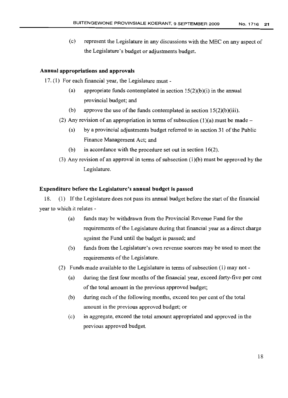(c) represent the Legislature in any discussions with the MEC on any aspect of the Legislature's budget or adjustments budget.

# **Annual appropriations and approvals**

17. (1) For each financial year, the Legislature must -

- (a) appropriate funds contemplated in section  $15(2)(b)(i)$  in the annual provincial budget; and
- (b) approve the use of the funds contemplated in section  $15(2)(b)(iii)$ .
- (2) Any revision of an appropriation in terms of subsection (1)(a) must be made -
	- (a) by a provincial adjustments budget referred to in section 31 ofthe Public Finance Management Act; and
	- (b) in accordance with the procedure set out in section 16(2).
- (3) Any revision of an approval in terms of subsection  $(1)(b)$  must be approved by the Legislature.

# **Expenditure before the Legislature's annual budget is passed**

18. (I) If the Legislature does not pass its annual budget before the start ofthe financial year to which it relates -

- (a) funds may be withdrawn from the Provincial Revenue Fund for the requirements of the Legislature during that financial year as a direct charge against the Fund until the budget is passed; and
- (b) funds from the Legislature's own revenue sources may be used to meet the requirements of the Legislature.
- (2) Funds made available to the Legislature in terms of subsection  $(1)$  may not -
	- (a) during the first four months of the financial year, exceed forty-five per cent of the total amount in the previous approved budget;
	- (b) during each of the following months, exceed ten per cent of the total amount in the previous approved budget; or
	- (c) in aggregate, exceed the total amount appropriated and approved in the previous approved budget.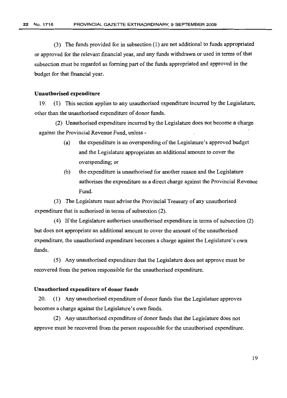(3) The funds provided for in subsection (1) are not additional to funds appropriated or approved for the relevant financial year, and any funds withdrawn or used in terms of that subsection must be regarded as forming part of the funds appropriated and approved in the budget for that financial year.

#### **Unauthorised expenditure**

19. (1) This section applies to any unauthorised expenditure incurred by the Legislature, other than the unauthorised expenditure of donor funds.

(2) Unauthorised expenditure incurred by the Legislature does not become a charge against the Provincial Revenue Fund, unless -

- (a) the expenditure is an overspending of the Legislature's approved budget and the Legislature appropriates an additional amount to cover the overspending; or
- (b) the expenditure is unauthorised for another reason and the Legislature authorises the expenditure as a direct charge against the Provincial Revenue Fund.

(3) The Legislature must advise the Provincial Treasury of any unauthorised expenditure that is authorised in terms of subsection (2).

(4) If the Legislature authorises unauthorised expenditure in terms of subsection  $(2)$ but does not appropriate an additional amount to cover the amount of the unauthorised expenditure, the unauthorised expenditure becomes a charge against the Legislature's own funds.

(5) Any unauthorised expenditure that the Legislature does not approve must be recovered from the person responsible for the unauthorised expenditure.

# **Unauthorised expenditure of donor funds**

20. (1) Any unauthorised expenditure of donor funds that the Legislature approves becomes a charge against the Legislature's own funds.

(2) Any unauthorised expenditure of donor funds that the Legislature does not approve must be recovered from the person responsible for the unauthorised expenditure.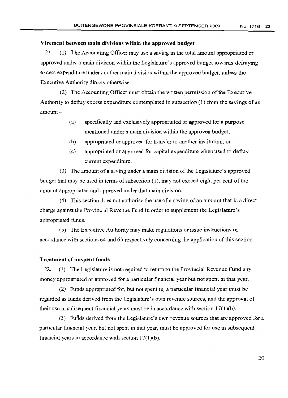# Virement between main divisions within the approved budget

21. (I) The Accounting Officer may use a saving in the total amount appropriated or approved under a main division within the Legislature's approved budget towards defraying excess expenditure under another main division within the approved budget, unless the Executive Authority directs otherwise.

(2) The Accounting Officer must obtain the written permission of the Executive Authority to defray excess expenditure contemplated in subsection (1) from the savings of an  $amount -$ 

- (a) specifically and exclusively appropriated or approved for a purpose mentioned under a main division within the approved budget;
- (b) appropriated or approved for transfer to another institution; or
- (c) appropriated or approved for capital expenditure when used to defray current expenditure.

(3) The amount of a saving under a main division ofthe Legislature's approved budget that may be used in terms of subsection  $(1)$ , may not exceed eight per cent of the amount appropriated and approved under that main division.

(4) This section does not authorise the use of a saving of an amount that is a direct charge against the Provincial Revenue Fund in order to supplement the Legislature's appropriated funds.

(5) The Executive Authority may make regulations or issue instructions in accordance with sections 64 and 65 respectively concerning the application of this section.

# Treatment of unspent funds

22. (1) The Legislature is not required to return to the Provincial Revenue Fund any money appropriated or approved for a particular financial year but not spent in that year.

(2) Funds appropriated for, but not spent in, a particular financial year must be regarded as funds derived from the Legislature's own revenue sources, and the approval of their use in subsequent financial years must be in accordance with section  $17(1)(b)$ .

(3) Funds derived from the Legislature's own revenue sources that are approved for a particular financial year, but not spent in that year, must be approved for use in subsequent financial years in accordance with section  $17(1)(b)$ .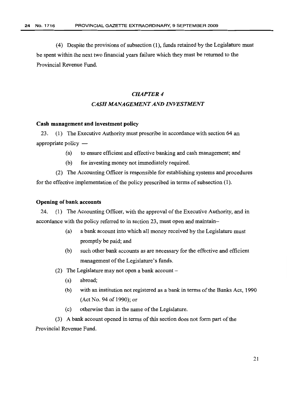(4) Despite the provisions of subsection  $(1)$ , funds retained by the Legislature must be spent within the next two financial years failure which they must be returned to the Provincial Revenue Fund.

# *CHAPTER* 4 *CASH MANAGEMENT AND INVESTMENT*

# Cash management and investment policy

23. (1) The Executive Authority must prescribe in accordance with section 64 an appropriate policy  $-$ 

- (a) to ensure efficient and effective banking and cash management; and
- (b) for investing money not immediately required.

(2) The Accounting Officer is responsible for establishing systems and procedures for the effective implementation of the policy prescribed in terms of subsection (1).

# Opening of bank accounts

24. (1) The Accounting Officer, with the approval of the Executive Authority, and in accordance with the policy referred to in section 23, must open and maintain-

- (a) a bank account into which all money received by the Legislature must promptly be paid; and
- (b) such other bank accounts as are necessary for the effective and efficient management of the Legislature's funds.
- (2) The Legislature may not open a bank account  $-$ 
	- (a) abroad;
	- (b) with an institution not registered as a bank in terms of the Banks Act, 1990 (Act No. 94 of 1990); or
	- (c) otherwise than in the name of the Legislature.

(3) A bank account opened in terms of this section does not form part of the Provincial Revenue Fund.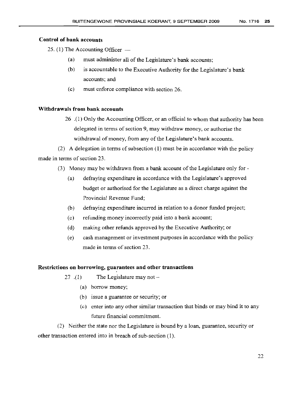# **Control of bank accounts**

25. (1) The Accounting Officer  $-$ 

- $(a)$  must administer all of the Legislature's bank accounts;
- (b) is accountable to the Executive Authority for the Legislature's bank accounts; and
- (c) must enforce compliance with section 26.

# **Withdrawals from bank accounts**

26 .(1) Only the Accounting Officer, or an official to whom that authority has been delegated in terms of section 9, may withdraw money, or authorise the withdrawal of money, from any of the Legislature's bank accounts.

(2) A delegation in terms of subsection  $(1)$  must be in accordance with the policy made in terms of section 23.

- (3) Money may be withdrawn from a bank account of the Legislature only for-
	- (a) defraying expenditure in accordance with the Legislature's approved budget or authorised for the Legislature as a direct charge against the Provincial Revenue Fund;
	- (b) defraying expenditure incurred in relation to a donor funded project;
	- (c) refunding money incorrectly paid into a bank account;
	- (d) making other refunds approved by the Executive Authority; or
	- (e) cash management or investment purposes in accordance with the policy made in terms of section 23.

# **Restrictions on borrowing, guarantees and other transactions**

- 27  $(1)$  The Legislature may not -
	- (a) borrow money;
	- (b) issue a guarantee or security; or
	- (c) enter into any other similar transaction that binds or may bind it to any future financial commitment.

(2) Neither the state nor the Legislature is bound by a loan, guarantee, security or other transaction entered into in breach of sub-section (1).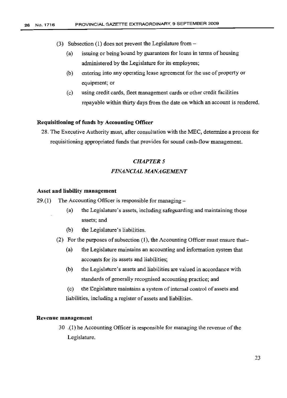- (3) Subsection (I) does not prevent the Legislature from
	- (a) issuing or being bound by guarantees for loans in terms of housing administered by the Legislature for its employees;
	- (b) entering into any operating lease agreement for the use of property or equipment; or
	- (c) using credit cards, fleet management cards or other credit facilities repayable within thirty days from the date on which an account is rendered.

# Requisitioning of funds by Accounting Officer

28. The Executive Authority must, after consultation with the MEC, determine a process for requisitioning appropriated funds that provides for sound cash-flow management.

# **CHAPTER 5** *FINANCIAL MANAGEMENT*

# Asset and liability management

- 29.(1) The Accounting Officer is responsible for managing  $-$ 
	- (a) the Legislature's assets, including safeguarding and maintaining those assets; and
	- (b) the Legislature's liabilities.
	- (2) For the purposes of subsection  $(1)$ , the Accounting Officer must ensure that-
		- (a) the Legislature maintains an accounting and information system that accounts for its assets and liabilities;
		- (b) the Legislature's assets and liabilities are valued in accordance with standards of generally recognised accounting practice; and
		- (c) the Legislature maintains a system of internal control of assets and liabilities, including a register of assets and liabilities.

# Revenue management

30 .(1) he Accounting Officer is responsible for managing the revenue ofthe Legislature.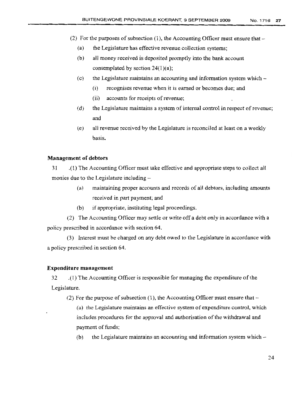- (2) For the purposes of subsection (1), the Accounting Officer must ensure that  $-$ 
	- (a) the Legislature has effective revenue collection systems;
	- (b) all money received is deposited promptly into the bank account contemplated by section  $24(1)(a)$ ;
	- (c) the Legislature maintains an accounting and information system which
		- (i) recognises revenue when it is earned or becomes due; and
		- (ii) accounts for receipts of revenue;
	- (d) the Legislature maintains a system of internal control in respect of revenue; and
	- (e) all revenue received by the Legislature is reconciled at least on a weekly basis.

# **Management of debtors**

31 .(1) The Accounting Officer must take effective and appropriate steps to collect all monies due to the Legislature including  $-$ 

- (a) maintaining proper accounts and records of all debtors, including amounts received in part payment; and
- (b) if appropriate, instituting legal proceedings.

(2) The Accounting Officer may settle or write off a debt only in accordance with a policy prescribed in accordance with section 64.

(3) Interest must be charged on any debt owed to the Legislature in accordance with a policy prescribed in section 64.

# **Expenditure management**

32 .(1) The Accounting Officer is responsible for managing the expenditure ofthe Legislature.

(2) For the purpose of subsection  $(1)$ , the Accounting Officer must ensure that -

(a) the Legislature maintains an effective system of expenditure control, which includes procedures for the approval and authorisation of the withdrawal and payment of funds;

(b) the Legislature maintains an accounting and information system which  $-$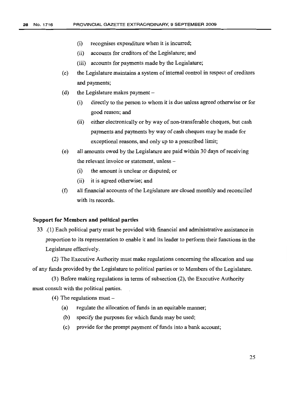- (i) recognises expenditure when it is incurred;
- (ii) accounts for creditors of the Legislature; and
- (iii) accounts for payments made by the Legislature;
- (c) the Legislature maintains a system ofinternal control in respect of creditors and payments;
- (d) the Legislature makes payment  $-$ 
	- (i) directly to the person to whom it is due unless agreed otherwise or for good reason; and
	- (ii) either electronically or by way of non-transferable cheques, but cash payments and payments by way of cash cheques may be made for exceptional reasons, and only up to a prescribed limit;
- (e) all amounts owed by the Legislature are paid within 30 days ofreceiving the relevant invoice or statement, unless -
	- (i) the amount is unclear or disputed; or
	- (ii) it is agreed otherwise; and
- (f) all financial accounts ofthe Legislature are closed monthly and reconciled with its records.

# **Support for Members and political parties**

33 .(1) Each political party must be provided with financial and administrative assistance in proportion to its representation to enable it and its leader to perform their functions in the Legislature effectively.

(2) The Executive Authority must make regulations concerning the allocation and use of any funds provided by the Legislature to political parties or to Members ofthe Legislature.

 $(3)$  Before making regulations in terms of subsection  $(2)$ , the Executive Authority must consult with the political parties.

 $(4)$  The regulations must -

- $(a)$  regulate the allocation of funds in an equitable manner;
- (b) specify the purposes for which funds may be used;
- (c) provide for the prompt payment of funds into a bank account;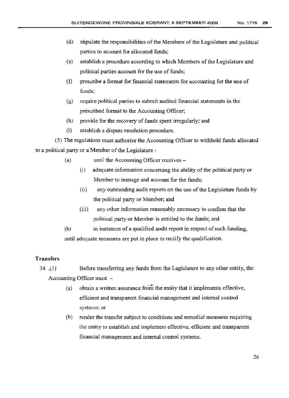- (d) stipulate the responsibilities of the Members of the Legislature and political parties to account for allocated funds;
- (e) establish a procedure according to which Members of the Legislature and political parties account for the use of funds;
- (f) prescribe a format for financial statements for accounting for the use of funds;
- (g) require political parties to submit audited fmancial statements in the prescribed format to the Accounting Officer;
- (h) provide for the recovery of funds spent irregularly; and
- (i) establish a dispute resolution procedure.

(5) The regulations must authorise the Accounting Officer to withhold funds allocated to a political party or a Member of the Legislature -

- (a) until the Accounting Officer receives -
	- (i) adequate information concerning the ability of the political party or Member to manage and account for the funds;
	- (ii) any outstanding audit reports on the use of the Legislature funds by the political party or Member; and
	- $(iii)$ any other information reasonably necessary to confirm that the political party or Member is entitled to the funds; and
- (b) in instances of a qualified audit report in respect of such funding, until adequate measures are put in place to rectify the qualification.

# **Transfers**

- 34 .(1) Before transferring any funds from the Legislature to any other entity, the Accounting Officer must  $-$ 
	- (a) obtain a written assurance from the entity that it implements effective, efficient and transparent financial management and internal control systems; or
	- (b) render the transfer subject to conditions and remedial measures requiring the entity to establish and implement effective, efficient and transparent financial management and internal control systems.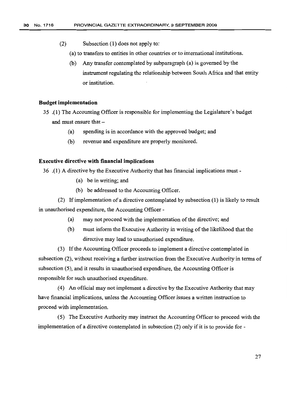- (2) Subsection (1) does not apply to:
	- (a) to transfers to entities in other countries or to international institutions.
	- (b) Any transfer contemplated by subparagraph (a) is governed by the instrument regulating the relationship between South Africa and that entity or institution.

# **Budget implementation**

- 35 .(1) The Accounting Officer is responsible for implementing the Legislature's budget and must ensure that -
	- (a) spending is in accordance with the approved budget; and
	- (b) revenue and expenditure are properly monitored.

# **Executive directive with financial implications**

36 .(1) A directive by the Executive Authority that has financial implications must -

- (a) be in writing; and
- (b) be addressed to the Accounting Officer.

(2) Ifimplementation of a directive contemplated by subsection (I) is likely to result in unauthorised expenditure, the Accounting Officer -

- (a) may not proceed with the implementation of the directive; and
- (b) must inform the Executive Authority in writing of the likelihood that the directive may lead to unauthorised expenditure.

(3) Ifthe Accounting Officer proceeds to implement a directive contemplated in subsection (2), without receiving a further instruction from the Executive Authority in terms of subsection (5), and it results in unauthorised expenditure, the Accounting Officer is responsible for such unauthorised expenditure.

(4) An official may not implement a directive by the Executive Authority that may have financial implications, unless the Accounting Officer issues a written instruction to proceed with implementation.

(5) The Executive Authority may instruct the Accounting Officer to proceed with the implementation of a directive contemplated in subsection  $(2)$  only if it is to provide for -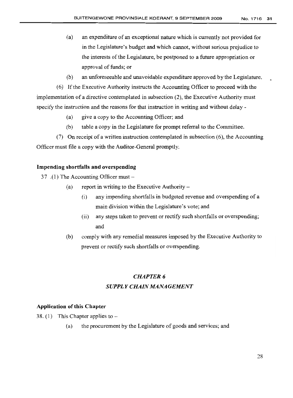- (a) an expenditure of an exceptional nature which is currently not provided for in the Legislature's budget and which cannot, without serious prejudice to the interests of the Legislature, be postponed to a future appropriation or approval of funds; or
- (b) an unforeseeable and unavoidable expenditure approved by the Legislature.

(6) Ifthe Executive Authority instructs the Accounting Officer to proceed with the implementation of a directive contemplated in subsection (2), the Executive Authority must specify the instruction and the reasons for that instruction in writing and without delay -

- (a) give a copy to the Accounting Officer; and
- (b) table a copy in the Legislature for prompt referral to the Committee.

(7) On receipt of a written instruction contemplated in subsection (6), the Accounting Officer must file a copy with the Auditor-General promptly.

# Impending shortfalls and overspending

37 .(1) The Accounting Officer must  $-$ 

- (a) report in writing to the Executive Authority  $-$ 
	- (i) any impending shortfalls in budgeted revenue and overspending of a main division within the Legislature's vote; and
	- (ii) any steps taken to prevent or rectify such shortfalls or overspending; and
- (b) comply with any remedial measures imposed by the Executive Authority to prevent or rectify such shortfalls or overspending.

# *CHAPTER* 6

# *SUPPLY CHAIN MANAGEMENT*

# Application of this Chapter

38. (1) This Chapter applies to--

(a) the procurement by the Legislature of goods and services; and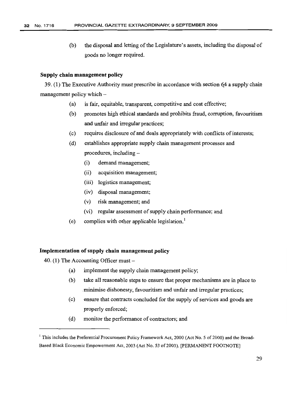(b) the disposal and letting of the Legislature's assets, including the disposal of goods no longer required.

# **Supply chain management policy**

39. (1) The Executive Authority must prescribe in accordance with section 64 a supply chain management policy which  $-$ 

- (a) is fair, equitable, transparent, competitive and cost effective;
- (b) promotes high ethical standards and prohibits fraud, corruption, favouritism and unfair and irregular practices;
- (c) requires disclosure of and deals appropriately with conflicts of interests;
- (d) establishes appropriate supply chain management processes and procedures, including-
	- (i) demand management;
	- (ii) acquisition management;
	- (iii) logistics management;
	- (iv) disposal management;
	- (v) risk management; and
	- (vi) regular assessment of supply chain performance; and
- (e) complies with other applicable legislation.'

# **Implementation ofsupply chain management policy**

- 40. (1) The Accounting Officer must-
	- (a) implement the supply chain management policy;
	- (b) take all reasonable steps to ensure that proper mechanisms are in place to .minimise dishonesty, favouritism and unfair and irregular practices;
	- (c) ensure that contracts concluded for the supply of services and goods are properly enforced;
	- (d) monitor the performance of contractors; and

<sup>&</sup>lt;sup>I</sup> This includes the Preferential Procurement Policy Framework Act, 2000 (Act No. 5 of 2000) and the Broad-Based Black Economic Empowerment Act, 2003 (Act No. 53 of 2003). [PERMANENT FOOTNOTE]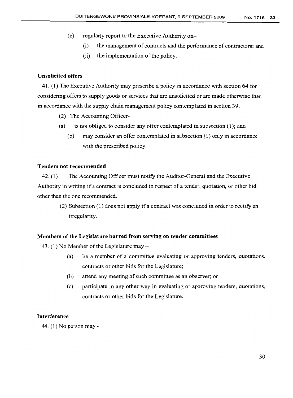- (e) regularly report to the Executive Authority on-
	- (i) the management of contracts and the performance of contractors; and
	- (ii) the implementation of the policy.

# Unsolicited offers

41. (1) The Executive Authority may prescribe a policy in accordance with section 64 for considering offers to supply goods or services that are unsolicited or are made otherwise than in accordance with the supply chain management policy contemplated in section 39.

- (2) The Accounting Officer-
- (a) is not obliged to consider any offer contemplated in subsection (1); and
	- (b) may consider an offer contemplated in subsection (1) only in accordance with the prescribed policy.

# Tenders not recommended

42. (1) The Accounting Officer must notify the Auditor-General and the Executive Authority in writing if a contract is concluded in respect of a tender, quotation, or other bid other than the one recommended.

> (2) Subsection (l) does not apply if a contract was concluded in order to rectify an irregularity.

# Members of the Legislature barred from serving on tender committees

43. (1) No Member of the Legislature may  $-$ 

- (a) be a member of a committee evaluating or approving tenders, quotations, contracts or other bids for the Legislature;
- (b) attend any meeting of such committee as an observer; or
- (c) participate in any other way in evaluating or approving tenders, quotations, contracts or other bids for the Legislature.

# Interference

44. (1) No person may-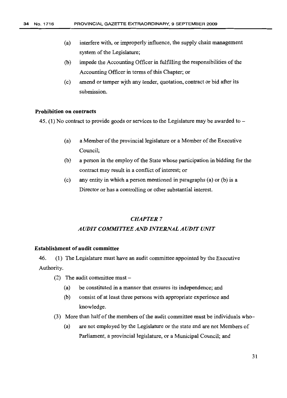- (a) interfere with, or improperly influence, the supply chain management system of the Legislature;
- $(b)$  impede the Accounting Officer in fulfilling the responsibilities of the Accounting Officer in terms of this Chapter; or
- (c) amend or tamper with any tender, quotation, contract or bid after its submission.

# Prohibition on contracts

45. (1) No contract to provide goods or services to the Legislature may be awarded to  $-$ 

- (a) a Member of the provincial legislature or a Member of the Executive Council;
- (b) a person in the employ of the State whose participation in bidding for the contract may result in a conflict of interest; or
- (c) any entity in which a person mentioned in paragraphs (a) or (b) is a Director or has a controlling or other substantial interest.

# *CHAPTER 7*

# *AUDIT COMMITTEE AND INTERNAL AUDIT UNIT*

# Establishment of audit committee

46. (1) The Legislature must have an audit committee appointed by the Executive Authority.

- (2) The audit committee must  $-$ 
	- (a) be constituted in a manner that ensures its independence; and
	- (b) consist of at least three persons with appropriate experience and knowledge.
- (3) More than half of the members of the audit committee must be individuals who-
	- (a) are not employed by the Legislature or the state and are not Members of Parliament, a provincial legislature, or a Municipal Council; and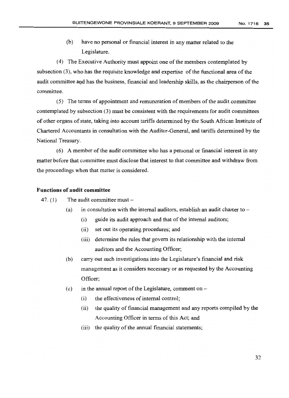(b) have no personal or financial interest in any matter related to the Legislature.

(4) The Executive Authority must appoint one ofthe members contemplated by subsection  $(3)$ , who has the requisite knowledge and expertise of the functional area of the audit committee and has the business, financial and leadership skills, as the chairperson ofthe committee.

 $(5)$  The terms of appointment and remuneration of members of the audit committee contemplated by subsection (3) must be consistent with the requirements for audit committees of other organs of state, taking into account tariffs determined by the South African Institute of Chartered Accountants in consultation with the Auditor-General, and tariffs determined by the National Treasury.

 $(6)$  A member of the audit committee who has a personal or financial interest in any matter before that committee must disclose that interest to that committee and withdraw from the proceedings when that matter is considered.

# **Functions of audit committee**

47. (1) The audit committee must  $-$ 

- (a) in consultation with the internal auditors, establish an audit charter to  $-$ 
	- (i) guide its audit approach and that of the internal auditors;
	- (ii) set out its operating procedures; and
	- (iii) determine the rules that govern its relationship with the internal auditors and the Accounting Officer;
- (b) carry out such investigations into the Legislature's financial and risk management as it considers necessary or as requested by the Accounting Officer;
- (c) in the annual report of the Legislature, comment on  $-$ 
	- $(i)$  the effectiveness of internal control;
	- (ii) the quality of financial management and any reports compiled by the Accounting Officer in terms of this Act; and
	- $(iii)$  the quality of the annual financial statements;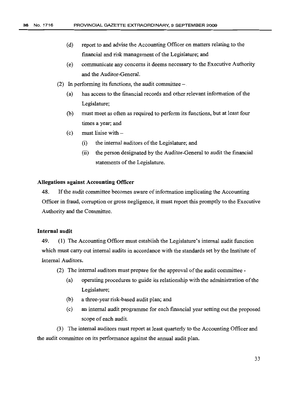- (d) report to and advise the Accounting Officer on matters relating to the financial and risk management of the Legislature; and
- (e) communicate any concerns it deems necessary to the Executive Authority and the Auditor-General.
- (2) In performing its functions, the audit committee  $-$ .
	- (a) has access to the financial records and other relevant information of the Legislature;
	- (b) must meet as often as required to perform its functions, but at least four times a year; and
	- $(c)$  must liaise with  $-$ 
		- (i) the internal auditors of the Legislature; and
		- (ii) the person designated by the Auditor-General to audit the financial statements of the Legislature.

# **Allegations against Accounting Officer**

48. lfthe audit committee becomes aware ofinfonnation implicating the Accounting Officer in fraud, corruption or gross negligence, it must report this promptly to the Executive Authority and the Committee.

# **Internal audit**

49. (1) The Accounting Officer must establish the Legislature's internal audit function which must carry out internal audits in accordance with the standards set by the Institute of Internal Auditors.

- $(2)$  The internal auditors must prepare for the approval of the audit committee -
	- (a) operating procedures to guide its relationship with the administration ofthe Legislature;
	- (b) a three-year risk-based audit plan; and
	- (c) an internal audit programme for each financial year setting out the proposed scope of each audit.

(3) The internal auditors must report at least quarterly to the Accounting Officer and the audit committee on its performance against the annual audit plan.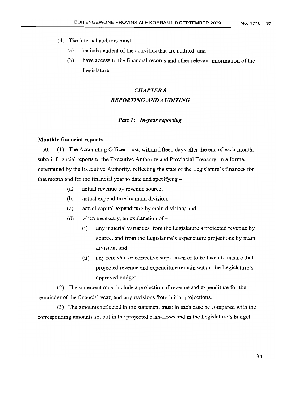- (4) The internal auditors must  $-$ 
	- (a) be independent of the activities that are audited; and
	- (b) have access to the financial records and other relevant information ofthe Legislature.

# *CHAPTER* 8 *REPORTING AND AUDITING*

# *Part* **1:** *In-year reporting*

# **Monthly financial reports**

50. (1) The Accounting Officer must, within fifteen days after the end of each month, submit financial reports to the Executive Authority and Provincial Treasury, in a format determined by the Executive Authority, reflecting the state of the Legislature's finances for that month and for the financial year to date and specifying  $-$ 

- (a) actual revenue by revenue source;
- (b) actual expenditure by main division;
- (c) actual capital expenditure by main division; and
- (d) when necessary, an explanation of  $-$ 
	- (i) any material variances from the Legislature's projected revenue by source, and from the Legislature's expenditure projections by main division; and
	- (ii) any remedial or corrective steps taken or to be taken to ensure that projected revenue and expenditure remain within the Legislature's approved budget.

(2) The statement must include a projection of revenue and expenditure for the remainder of the financial year, and any revisions from initial projections.

(3) The amounts reflected in the statement must in each case be compared with the corresponding amounts set out in the projected cash-flows and in the Legislature's budget.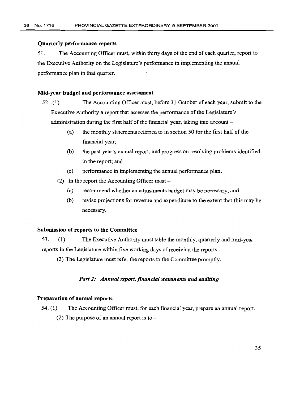# Quarterly performance reports

51. The Accounting Officer must, within thirty days ofthe end of each quarter, report to the Executive Authority on the Legislature's performance in implementing the annual performance plan in that quarter.

# Mid-year budget and performance assessment

- 52 .(1) The Accounting Officer must, before 31 October of each year, submit to the Executive Authority a report that assesses the performance of the Legislature's administration during the first half of the financial year, taking into account  $-$ 
	- (a) the monthly statements referred to in section 50 for the first half of the financial year;
	- (b) the past year's annual report, and progress on resolving problems identified in the report; and
	- (c) performance in implementing the annual performance plan.
	- (2) In the report the Accounting Officer must  $-$ 
		- (a) recommend whether an adjustments budget may be necessary; and
		- (b) revise projections for revenue and expenditure to the extent that this may be necessary.

# Submission of reports to the Committee

53. (1) The Executive Authority must table the monthly, quarterly and mid-year reports in the Legislature within five working days of receiving the reports.

(2) The Legislature must refer the reports to the Committee promptly.

# *Part* 2: *Annual report.financial statements and auditing*

# Preparation of annual reports

54. (l) The Accounting Officer must, for each financial year, prepare an annual report. (2) The purpose of an annual report is to  $-$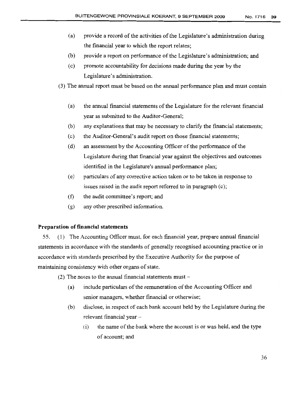- (a) provide a record of the activities of the Legislature's administration during the financial year to which the report relates;
- (b) provide a report on performance of the Legislature's administration; and
- (c) promote accountability for decisions made during the year by the Legislature's administration.
- (3) The annual report must be based on the annual performance plan and must contain
	- (a) the annual financial statements ofthe Legislature for the relevant financial year as submitted to the Auditor-General;
	- (b) any explanations that may be necessary to clarify the fmancial statements;
	- (c) the Auditor-General's audit report on those fmancial statements;
	- $(d)$  an assessment by the Accounting Officer of the performance of the Legislature during that financial year against the objectives and outcomes identified in the Legislature's annual performance plan;
	- (e) particulars of any corrective action taken or to be taken in response to issues raised in the audit report referred to in paragraph (c);
	- (f) the audit committee's report; and
	- (g) any other prescribed information.

# **Preparation of financial statements**

55. (1) The Accounting Officer must, for each financial year, prepare annual financial statements in accordance with the standards of generally recognised accounting practice or in accordance with standards prescribed by the Executive Authority for the purpose of maintaining consistency with other organs of state.

- (2) The notes to the annual financial statements must  $-$ 
	- (a) include particulars of the remuneration of the Accounting Officer and senior managers, whether financial or otherwise;
	- (b) disclose, in respect of each bank account held by the Legislature during the relevant financial year-
		- (i) the name of the bank where the account is or was held, and the type of account; and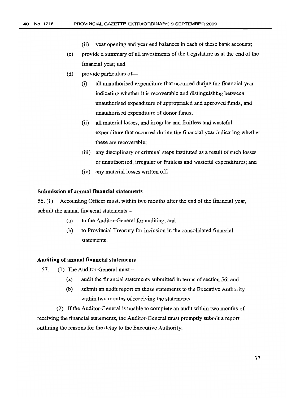- (ii) year opening and year end balances in each of these bank accounts;
- (c) provide a summary of all investments of the Legislature as at the end ofthe financial year; and
- $(d)$  provide particulars of-
	- (i) all unauthorised expenditure that occurred during the financial year indicating whether it is recoverable and distinguishing between unauthorised expenditure of appropriated and approved funds, and unauthorised expenditure of donor funds;
	- (ii) all material losses, and irregular and fruitless and wasteful expenditure that occurred during the fmancial year indicating whether these are recoverable;
	- (iii) any disciplinary or criminal steps instituted as a result of such losses or unauthorised, irregular or fruitless and wasteful expenditures; and
	- (iv) any material losses written off.

# **Submission of annual financial statements**

56. (1) Accounting Officer must, within two months after the end ofthe financial year, submit the annual financial statements -

- (a) to the Auditor-General for auditing; and
- (b) to Provincial Treasury for inclusion in the consolidated financial statements.

# **Auditing of annual financial statements**

- 57. (1) The Auditor-General must  $-$ 
	- (a) audit the financial statements submitted in terms of section 56; and
	- (b) submit an audit report on those statements to the Executive Authority within two months of receiving the statements.

(2) Ifthe Auditor-General is unable to complete an audit within two months of receiving the financial statements, the Auditor-General must promptly submit a report outlining the reasons for the delay to the Executive Authority.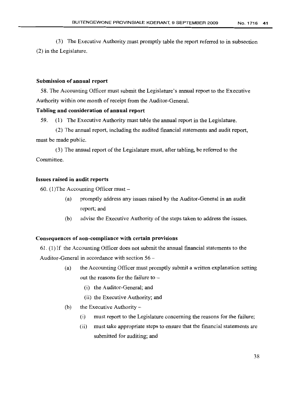(3) The Executive Authority must promptly table the report referred to in subsection (2) in the Legislature.

# **Submission of annual report**

58. The Accounting Officer must submit the Legislature's annual report to the Executive Authority within one month of receipt from the Auditor-General.

# **Tabling and consideration of annual report**

59. (1) The Executive Authority must table the annual report in the Legislature.

(2) The annual report, including the audited financial statements and audit report, must be made public.

(3) The annual report of the Legislature must, after tabling, be referred to the Committee.

# **Issues raised in audit reports**

60. (1) The Accounting Officer must  $-$ 

- (a) promptly address any issues raised by the Auditor-General in an audit report; and
- (b) advise the Executive Authority of the steps taken to address the issues.

# **Consequences of non-compliance with certain provisions**

61. (1) If the Accounting Officer does not submit the annual financial statements to the Auditor-General in accordance with section 56 -

- (a) the Accounting Officer must promptly submit a written explanation setting out the reasons for the failure to  $-$ 
	- (i) the Auditor-General; and
	- (ii) the Executive Authority; and
- (b) the Executive Authority  $-$ 
	- (i) must report to the Legislature concerning the reasons for the failure;
	- (ii) must take appropriate steps to ensure that the financial statements are submitted for auditing; and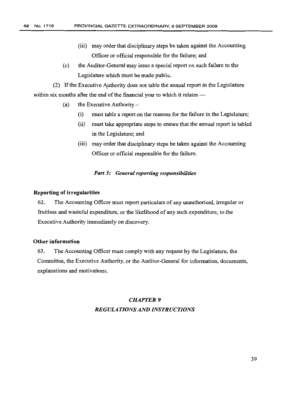- (iii) may order that disciplinary steps be taken against the Accounting Officer or official responsible for the failure; and
- (c) the Auditor-General may issue a special report on such failure to the Legislature which must be made public.

(2) Ifthe Executive Authority does not table the annual report in the Legislature within six months after the end of the financial year to which it relates  $-$ 

- (a) the Executive Authority  $-$ 
	- (i) must table a report on the reasons for the failure in the Legislature;
	- (ii) must take appropriate steps to ensure that the annual report is tabled in the Legislature; and
	- (iii) may order that disciplinary steps be taken against the Accounting Officer or official responsible for the failure.

# *Part* 3: *General reporting responsibilities*

# Reporting of irregularities

62. The Accounting Officer must report particulars of any unauthorised, irregular or fruitless and wasteful expenditure, or the likelihood of any such expenditure, to the Executive Authority immediately on discovery.

# Other information

63. The Accounting Officer must comply with any request by the Legislature, the Committee, the Executive Authority, or the Auditor-General for information, documents, explanations and motivations.

# *CHAPTER* 9 *REGULATIONS AND INSTRUCTIONS*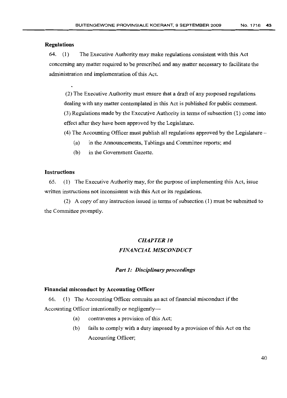### Regulations

64. (1) The Executive Authority may make regulations consistent with this Act concerning any matter required to be prescribed and any matter necessary to facilitate the administration and implementation of this Act.

(2) The Executive Authority must ensure that a draft of any proposed regulations dealing with any matter contemplated in this Act is published for public comment.  $(3)$  Regulations made by the Executive Authority in terms of subsection  $(1)$  come into effect after they have been approved by the Legislature.

(4) The Accounting Officer must publish all regulations approved by the Legislature-

- (a) in the Announcements, Tablings and Committee reports; and
- (b) in the Government Gazette.

# Instructions

65. (1) The Executive Authority may, for the purpose of implementing this Act, issue written instructions not inconsistent with this Act or its regulations.

(2) A copy of any instruction issued in terms of subsection  $(1)$  must be submitted to the Committee promptly.

# *CHAPTER 10 FINANCIAL MISCONDUCT*

# *Part 1: Disciplinary proceedings*

# Financial misconduct by Accounting Officer

66. (1) The Accounting Officer commits an act of financial misconduct if the Accounting Officer intentionally or negligently-

- $(a)$  contravenes a provision of this Act;
- (b) fails to comply with a duty imposed by a provision of this Act on the Accounting Officer;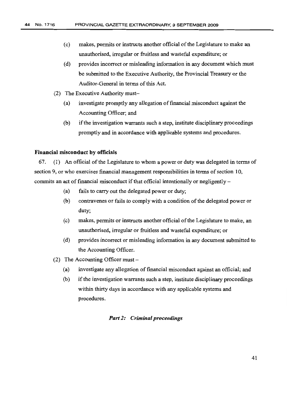- (c) makes, permits or instructs another official of the Legislature to make an unauthorised, irregular or fruitless and wasteful expenditure; or
- (d) provides incorrect or misleading information in any document which must be submitted to the Executive Authority, the Provincial Treasury or the Auditor-General in terms of this Act.
- (2) The Executive Authority must-
	- (a) investigate promptly any allegation offmancial misconduct against the Accounting Officer; and
	- (b) if the investigation warrants such a step, institute disciplinary proceedings promptly and in accordance with applicable systems and procedures.

# Financial misconduct by officials

67. (1) An official of the Legislature to whom a power or duty was delegated in terms of section 9, or who exercises financial management responsibilities in terms of section 10, commits an act of financial misconduct if that official intentionally or negligently  $-$ 

- (a) fails to carry out the delegated power or duty;
- (b) contravenes or fails to comply with a condition of the delegated power or duty;
- (c) makes, permits or instructs another official ofthe Legislature to make, an unauthorised, irregular or fruitless and wasteful expenditure; or
- (d) provides incorrect or misleading information in any document submitted to the Accounting Officer.
- (2) The Accounting Officer must  $-$ 
	- (a) investigate any allegation of financial misconduct against an official; and
	- (b) ifthe investigation warrants such a step, institute disciplinary proceedings within thirty days in accordance with any applicable systems and procedures.

# *Part* 2: *Criminal proceedings*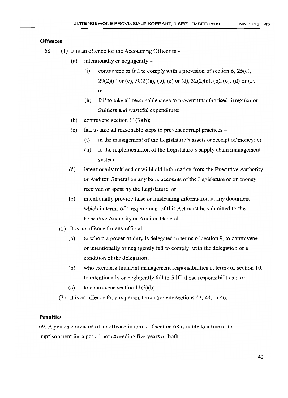# **Offences**

- 68. (1) It is an offence for the Accounting Officer to
	- (a) intentionally or negligently  $-$ 
		- (i) contravene or fail to comply with a provision of section  $6, 25(c)$ ,  $29(2)(a)$  or (c),  $30(2)(a)$ , (b), (c) or (d),  $32(2)(a)$ , (b), (c), (d) or (f); or
		- (ii) fail to take all reasonable steps to prevent unauthorised, irregular or fruitless and wasteful expenditure;
	- (b) contravene section  $11(3)(b)$ ;
	- (c) fail to take all reasonable steps to prevent corrupt practices  $-$ 
		- $(i)$  in the management of the Legislature's assets or receipt of money; or
		- (ii) in the implementation of the Legislature's supply chain management system;
	- (d) intentionally mislead or withhold information from the Executive Authority or Auditor-General on any bank accounts of the Legislature or on money received or spent by the Legislature; or
	- (e) intentionally provide false or misleading information in any document which in terms of a requirement of this Act must be submitted to the Executive Authority or Auditor-General.
	- (2) It is an offence for any official  $-$ 
		- (a) to whom a power or duty is delegated in terms of section 9, to contravene or intentionally or negligently fail to comply with the delegation or a condition of the delegation;
		- $(b)$  who exercises financial management responsibilities in terms of section 10, to intentionally or negligently fail to fulfil those responsibilities; or
		- (c) to contravene section  $11(3)(b)$ .
	- (3) It is an offence for any person to contravene sections 43,44, or 46.

# **Penalties**

69. A person convicted of an offence in terms of section 68 is liable to a fine or to imprisonment for a period not exceeding five years or both.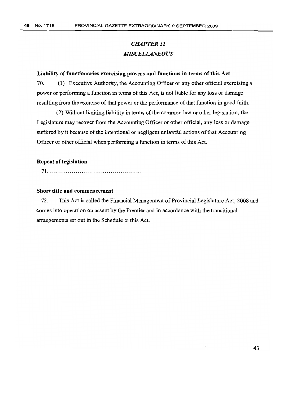# *CHAPTER]] MISCELLANEOUS*

# **Liability offunctionaries exercising powers and functions in terms ofthis Act**

70. (1) Executive Authority, the Accounting Officer or any other official exercising a power or performing a function in terms of this Act, is not liable for any loss or damage resulting from the exercise of that power or the performance of that function in good faith.

(2) Without limiting liability in terms of the common law or other legislation, the Legislature may recover from the Accounting Officer or other official, any loss or damage suffered by it because of the intentional or negligent unlawful actions of that Accounting Officer or other official when performing a function in terms of this Act.

#### **Repeal of legislation**

71 .

# **Short title and commencement**

72. This Act is called the Financial Management of Provincial Legislature Act, 2008 and comes into operation on assent by the Premier and in accordance with the transitional arrangements set out in the Schedule to this Act.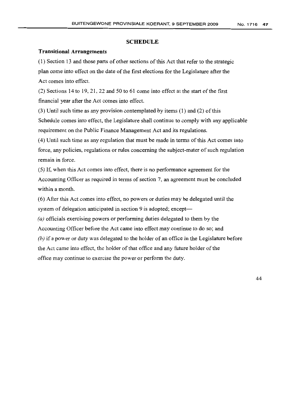#### **SCHEDULE**

## **Transitional Arrangements**

(1) Section 13 and those parts of other sections ofthis Act that refer to the strategic plan come into effect on the date of the first elections for the Legislature after the Act comes into effect.

 $(2)$  Sections 14 to 19, 21, 22 and 50 to 61 come into effect at the start of the first financial year after the Act comes into effect.

 $(3)$  Until such time as any provision contemplated by items  $(1)$  and  $(2)$  of this Schedule comes into effect, the Legislature shall continue to comply with any applicable requirement on the Public Finance Management Act and its regulations.

(4) Until such time as any regulation that must be made in terms ofthis Act comes into force, any policies, regulations or rules concerning the subject-mater of such regulation remain in force.

(5) If, when this Act comes into effect, there is no performance agreement for the Accounting Officer as required in terms of section 7, an agreement must be concluded within a month.

(6) After this Act comes into effect, no powers or duties may be delegated until the system of delegation anticipated in section 9 is adopted; except-

*(a}* officials exercising powers or performing duties delegated to them by the Accounting Officer before the Act came into effect may continue to do so; and *(h)* if a power or duty was delegated to the holder of an office in the Legislature before the Act came into effect, the holder of that office and any future holder of the office may continue to exercise the power or perform the duty.